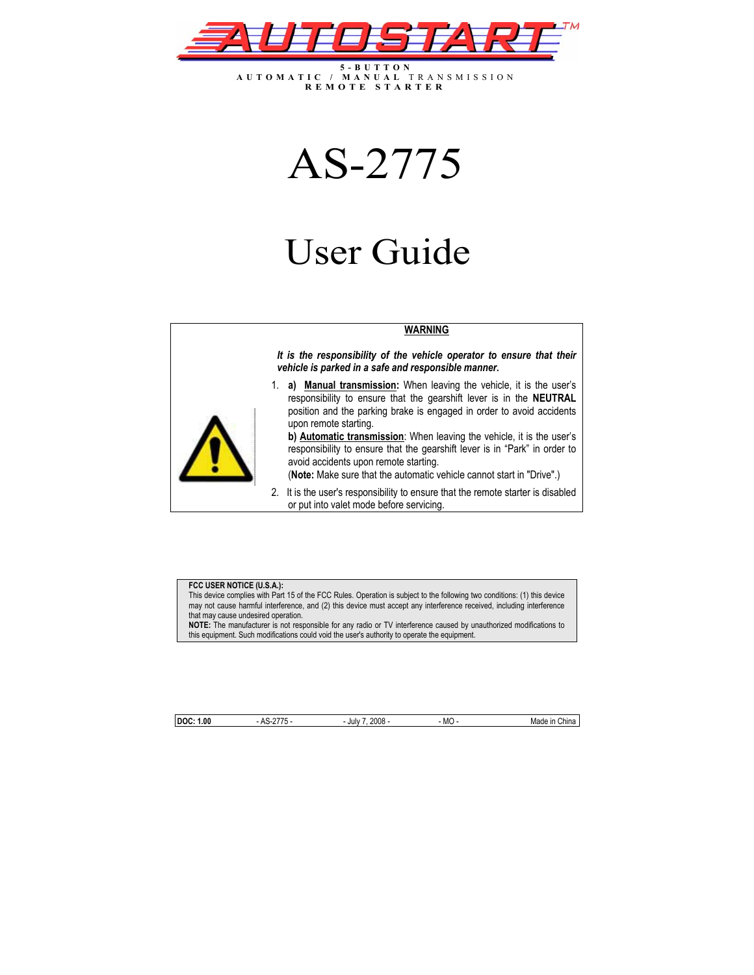

**5-BUTTON AUTOMATIC / MANUAL** TRANSMISSION **REMOTE STARTER**

# AS-2775

# User Guide

#### **WARNING**

*It is the responsibility of the vehicle operator to ensure that their vehicle is parked in a safe and responsible manner.* 



1. **a) Manual transmission:** When leaving the vehicle, it is the user's responsibility to ensure that the gearshift lever is in the **NEUTRAL** position and the parking brake is engaged in order to avoid accidents upon remote starting.

**b) Automatic transmission**: When leaving the vehicle, it is the user's responsibility to ensure that the gearshift lever is in "Park" in order to avoid accidents upon remote starting.

(**Note:** Make sure that the automatic vehicle cannot start in "Drive".)

2. It is the user's responsibility to ensure that the remote starter is disabled or put into valet mode before servicing.

#### **FCC USER NOTICE (U.S.A.):**

This device complies with Part 15 of the FCC Rules. Operation is subject to the following two conditions: (1) this device may not cause harmful interference, and (2) this device must accept any interference received, including interference that may cause undesired operation.

**NOTE:** The manufacturer is not responsible for any radio or TV interference caused by unauthorized modifications to this equipment. Such modifications could void the user's authority to operate the equipment.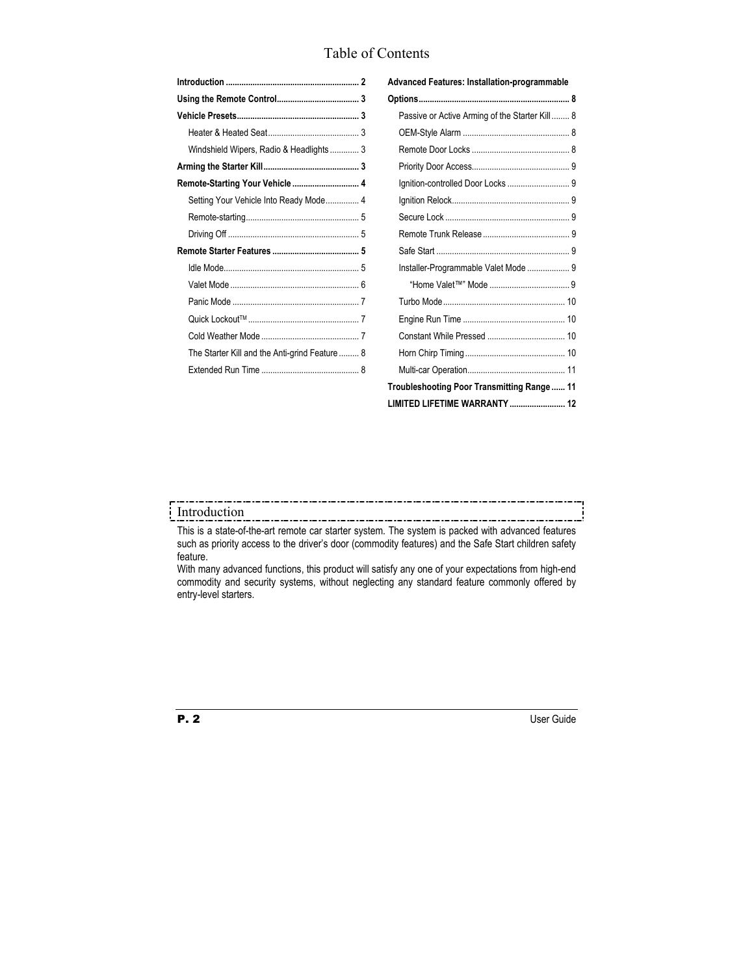## Table of Contents

| Windshield Wipers, Radio & Headlights  3      |
|-----------------------------------------------|
|                                               |
| Remote-Starting Your Vehicle  4               |
| Setting Your Vehicle Into Ready Mode 4        |
|                                               |
|                                               |
|                                               |
|                                               |
|                                               |
|                                               |
|                                               |
|                                               |
| The Starter Kill and the Anti-grind Feature 8 |
|                                               |
|                                               |

| Advanced Features: Installation-programmable   |  |  |  |
|------------------------------------------------|--|--|--|
|                                                |  |  |  |
| Passive or Active Arming of the Starter Kill 8 |  |  |  |
|                                                |  |  |  |
|                                                |  |  |  |
|                                                |  |  |  |
|                                                |  |  |  |
|                                                |  |  |  |
|                                                |  |  |  |
|                                                |  |  |  |
|                                                |  |  |  |
| Installer-Programmable Valet Mode  9           |  |  |  |
|                                                |  |  |  |
|                                                |  |  |  |
|                                                |  |  |  |
|                                                |  |  |  |
|                                                |  |  |  |
|                                                |  |  |  |
| Troubleshooting Poor Transmitting Range  11    |  |  |  |
| LIMITED LIFETIME WARRANTY  12                  |  |  |  |

## Introduction

This is a state-of-the-art remote car starter system. The system is packed with advanced features such as priority access to the driver's door (commodity features) and the Safe Start children safety feature.

With many advanced functions, this product will satisfy any one of your expectations from high-end commodity and security systems, without neglecting any standard feature commonly offered by entry-level starters.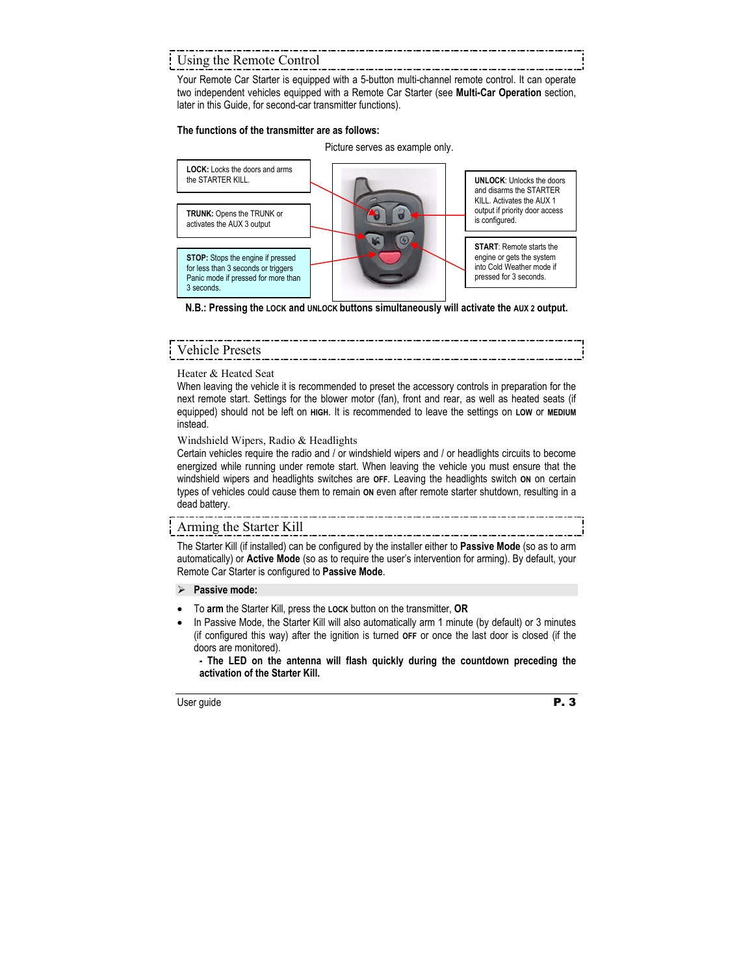### Using the Remote Control

Your Remote Car Starter is equipped with a 5-button multi-channel remote control. It can operate two independent vehicles equipped with a Remote Car Starter (see **Multi-Car Operation** section, later in this Guide, for second-car transmitter functions).

#### **The functions of the transmitter are as follows:**

Picture serves as example only.



**N.B.: Pressing the LOCK and UNLOCK buttons simultaneously will activate the AUX 2 output.** 

### Vehicle Presets

Heater & Heated Seat

When leaving the vehicle it is recommended to preset the accessory controls in preparation for the next remote start. Settings for the blower motor (fan), front and rear, as well as heated seats (if equipped) should not be left on **HIGH**. It is recommended to leave the settings on **LOW** or **MEDIUM** instead.

#### Windshield Wipers, Radio & Headlights

Certain vehicles require the radio and / or windshield wipers and / or headlights circuits to become energized while running under remote start. When leaving the vehicle you must ensure that the windshield wipers and headlights switches are **OFF**. Leaving the headlights switch **ON** on certain types of vehicles could cause them to remain **ON** even after remote starter shutdown, resulting in a dead battery.

#### Arming the Starter Kill

The Starter Kill (if installed) can be configured by the installer either to **Passive Mode** (so as to arm automatically) or **Active Mode** (so as to require the user's intervention for arming). By default, your Remote Car Starter is configured to **Passive Mode**.

#### ¾ **Passive mode:**

- To **arm** the Starter Kill, press the **LOCK** button on the transmitter, **OR**
- In Passive Mode, the Starter Kill will also automatically arm 1 minute (by default) or 3 minutes (if configured this way) after the ignition is turned **OFF** or once the last door is closed (if the doors are monitored).

**- The LED on the antenna will flash quickly during the countdown preceding the activation of the Starter Kill.**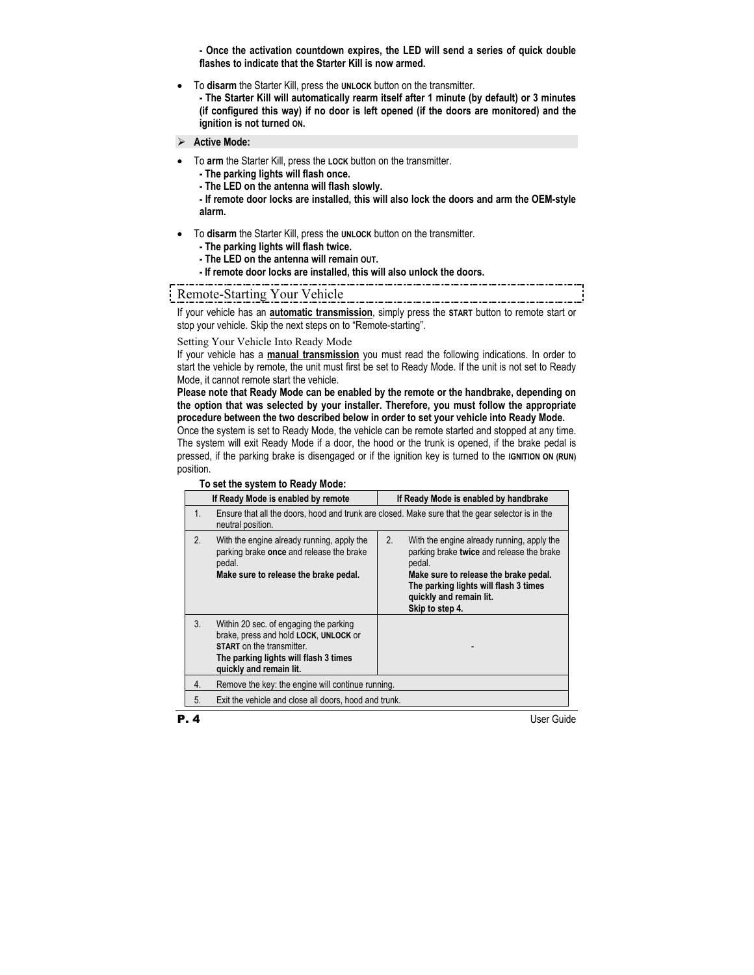**- Once the activation countdown expires, the LED will send a series of quick double flashes to indicate that the Starter Kill is now armed.** 

• To **disarm** the Starter Kill, press the **UNLOCK** button on the transmitter.

**- The Starter Kill will automatically rearm itself after 1 minute (by default) or 3 minutes (if configured this way) if no door is left opened (if the doors are monitored) and the ignition is not turned ON.** 

#### ¾ **Active Mode:**

- To **arm** the Starter Kill, press the **LOCK** button on the transmitter.
	- **The parking lights will flash once.**
	- **The LED on the antenna will flash slowly.**

**- If remote door locks are installed, this will also lock the doors and arm the OEM-style alarm.** 

- To **disarm** the Starter Kill, press the **UNLOCK** button on the transmitter.
	- **The parking lights will flash twice.**
	- **The LED on the antenna will remain OUT.**
	- **If remote door locks are installed, this will also unlock the doors.**  -------------------------------

Remote-Starting Your Vehicle

If your vehicle has an **automatic transmission**, simply press the **START** button to remote start or stop your vehicle. Skip the next steps on to "Remote-starting".

#### Setting Your Vehicle Into Ready Mode

If your vehicle has a **manual transmission** you must read the following indications. In order to start the vehicle by remote, the unit must first be set to Ready Mode. If the unit is not set to Ready Mode, it cannot remote start the vehicle.

**Please note that Ready Mode can be enabled by the remote or the handbrake, depending on the option that was selected by your installer. Therefore, you must follow the appropriate procedure between the two described below in order to set your vehicle into Ready Mode.** 

Once the system is set to Ready Mode, the vehicle can be remote started and stopped at any time. The system will exit Ready Mode if a door, the hood or the trunk is opened, if the brake pedal is pressed, if the parking brake is disengaged or if the ignition key is turned to the **IGNITION ON (RUN)** position.

#### **To set the system to Ready Mode:**

|    | If Ready Mode is enabled by remote                                                                                                                                                      | If Ready Mode is enabled by handbrake                                                                                                                                                                                                   |  |
|----|-----------------------------------------------------------------------------------------------------------------------------------------------------------------------------------------|-----------------------------------------------------------------------------------------------------------------------------------------------------------------------------------------------------------------------------------------|--|
| 1. | Ensure that all the doors, hood and trunk are closed. Make sure that the gear selector is in the<br>neutral position.                                                                   |                                                                                                                                                                                                                                         |  |
| 2. | With the engine already running, apply the<br>parking brake once and release the brake<br>pedal.<br>Make sure to release the brake pedal.                                               | 2.<br>With the engine already running, apply the<br>parking brake twice and release the brake<br>pedal.<br>Make sure to release the brake pedal.<br>The parking lights will flash 3 times<br>quickly and remain lit.<br>Skip to step 4. |  |
| 3. | Within 20 sec. of engaging the parking<br>brake, press and hold LOCK, UNLOCK or<br><b>START</b> on the transmitter.<br>The parking lights will flash 3 times<br>quickly and remain lit. |                                                                                                                                                                                                                                         |  |
| 4. | Remove the key: the engine will continue running.                                                                                                                                       |                                                                                                                                                                                                                                         |  |
| 5. | Exit the vehicle and close all doors, hood and trunk.                                                                                                                                   |                                                                                                                                                                                                                                         |  |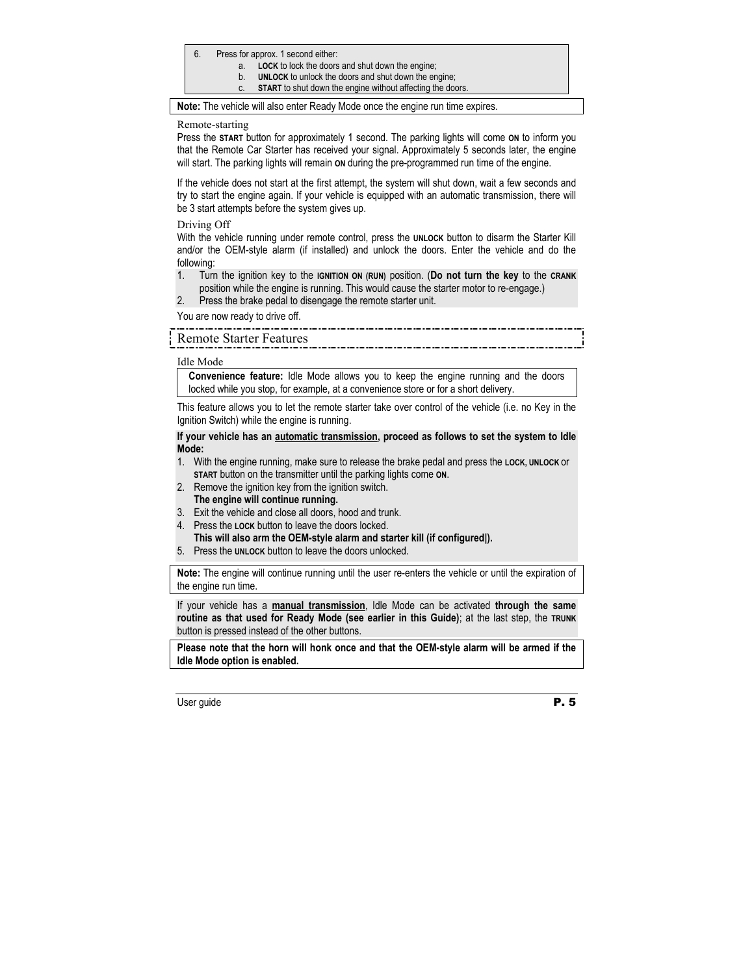- 6. Press for approx. 1 second either:
	- a. **LOCK** to lock the doors and shut down the engine;
	- b. **UNLOCK** to unlock the doors and shut down the engine;
	- c. **START** to shut down the engine without affecting the doors.

**Note:** The vehicle will also enter Ready Mode once the engine run time expires.

#### Remote-starting

Press the **START** button for approximately 1 second. The parking lights will come **ON** to inform you that the Remote Car Starter has received your signal. Approximately 5 seconds later, the engine will start. The parking lights will remain **ON** during the pre-programmed run time of the engine.

If the vehicle does not start at the first attempt, the system will shut down, wait a few seconds and try to start the engine again. If your vehicle is equipped with an automatic transmission, there will be 3 start attempts before the system gives up.

Driving Off

With the vehicle running under remote control, press the **UNLOCK** button to disarm the Starter Kill and/or the OEM-style alarm (if installed) and unlock the doors. Enter the vehicle and do the following:

- 1. Turn the ignition key to the **IGNITION ON (RUN)** position. (**Do not turn the key** to the **CRANK** position while the engine is running. This would cause the starter motor to re-engage.)
- 2. Press the brake pedal to disengage the remote starter unit.

You are now ready to drive off.

#### Remote Starter Features

Idle Mode

**Convenience feature:** Idle Mode allows you to keep the engine running and the doors locked while you stop, for example, at a convenience store or for a short delivery.

This feature allows you to let the remote starter take over control of the vehicle (i.e. no Key in the Ignition Switch) while the engine is running.

**If your vehicle has an automatic transmission, proceed as follows to set the system to Idle Mode:** 

- 1. With the engine running, make sure to release the brake pedal and press the **LOCK, UNLOCK** or **START** button on the transmitter until the parking lights come **ON**.
- 2. Remove the ignition key from the ignition switch.
- **The engine will continue running.**
- 3. Exit the vehicle and close all doors, hood and trunk.
- 4. Press the **LOCK** button to leave the doors locked. **This will also arm the OEM-style alarm and starter kill (if configured|).**
- 5. Press the **UNLOCK** button to leave the doors unlocked.

**Note:** The engine will continue running until the user re-enters the vehicle or until the expiration of the engine run time.

If your vehicle has a **manual transmission**, Idle Mode can be activated **through the same routine as that used for Ready Mode (see earlier in this Guide)**; at the last step, the **TRUNK** button is pressed instead of the other buttons.

**Please note that the horn will honk once and that the OEM-style alarm will be armed if the Idle Mode option is enabled.**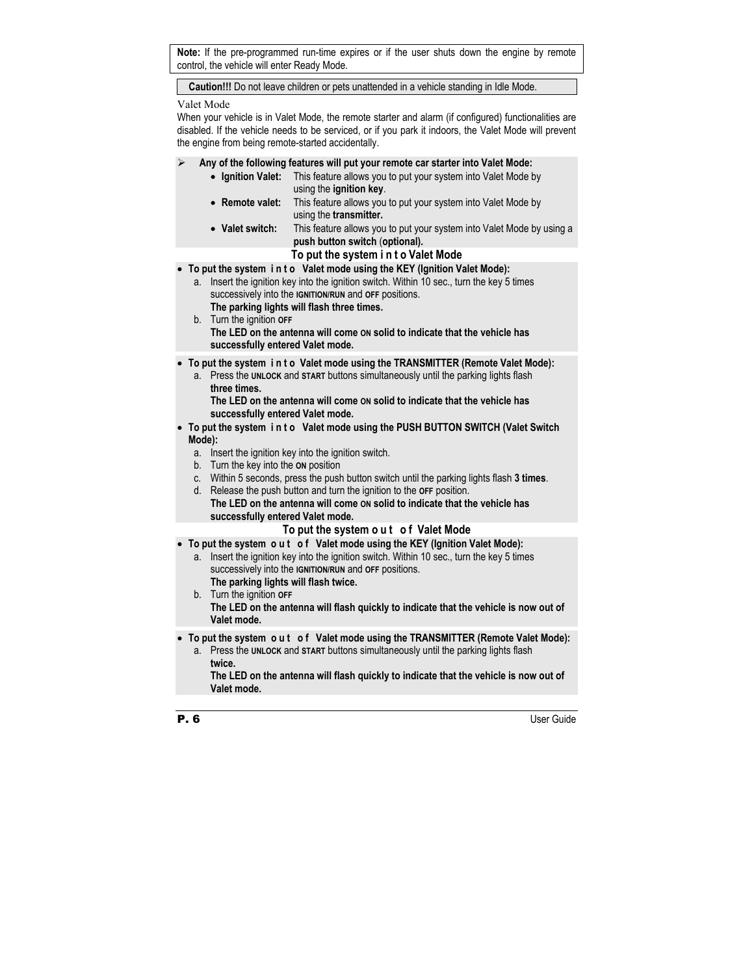**Note:** If the pre-programmed run-time expires or if the user shuts down the engine by remote control, the vehicle will enter Ready Mode.

**Caution!!!** Do not leave children or pets unattended in a vehicle standing in Idle Mode.

Valet Mode

When your vehicle is in Valet Mode, the remote starter and alarm (if configured) functionalities are disabled. If the vehicle needs to be serviced, or if you park it indoors, the Valet Mode will prevent the engine from being remote-started accidentally.

- ¾ **Any of the following features will put your remote car starter into Valet Mode:** 
	- **Ignition Valet:** This feature allows you to put your system into Valet Mode by using the **ignition key**.
	- **Remote valet:** This feature allows you to put your system into Valet Mode by using the **transmitter.**
	- Valet switch: This feature allows you to put your system into Valet Mode by using a  **push button switch** (**optional).**
		- **To put the system i n t o Valet Mode**
- **To put the system i n t o Valet mode using the KEY (Ignition Valet Mode):** 
	- a. Insert the ignition key into the ignition switch. Within 10 sec., turn the key 5 times successively into the **IGNITION/RUN** and **OFF** positions. **The parking lights will flash three times.**
	- b. Turn the ignition **OFF The LED on the antenna will come ON solid to indicate that the vehicle has successfully entered Valet mode.**
- **To put the system i n t o Valet mode using the TRANSMITTER (Remote Valet Mode):** 
	- a. Press the **UNLOCK** and **START** buttons simultaneously until the parking lights flash  **three times.**

 **The LED on the antenna will come ON solid to indicate that the vehicle has successfully entered Valet mode.** 

- **To put the system i n t o Valet mode using the PUSH BUTTON SWITCH (Valet Switch Mode):** 
	- a. Insert the ignition key into the ignition switch.
	- b. Turn the key into the **ON** position
	- c. Within 5 seconds, press the push button switch until the parking lights flash **3 times**.
	- d. Release the push button and turn the ignition to the **OFF** position.
		- **The LED on the antenna will come ON solid to indicate that the vehicle has successfully entered Valet mode.**

#### **To put the system o u t o f Valet Mode**

- **To put the system o u t o f Valet mode using the KEY (Ignition Valet Mode):** 
	- a. Insert the ignition key into the ignition switch. Within 10 sec., turn the key 5 times successively into the **IGNITION/RUN** and **OFF** positions. **The parking lights will flash twice.**
	- b. Turn the ignition **OFF The LED on the antenna will flash quickly to indicate that the vehicle is now out of Valet mode.**
- To put the system out of Valet mode using the TRANSMITTER (Remote Valet Mode):
	- a. Press the **UNLOCK** and **START** buttons simultaneously until the parking lights flash  **twice.**

 **The LED on the antenna will flash quickly to indicate that the vehicle is now out of Valet mode.**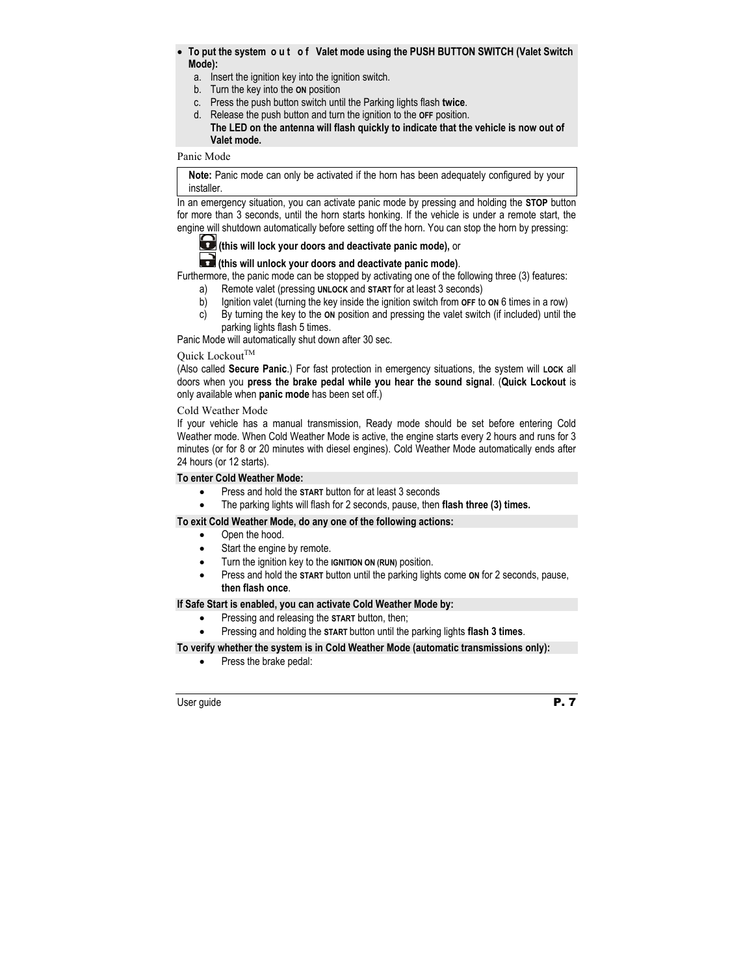- **To put the system o u t o f Valet mode using the PUSH BUTTON SWITCH (Valet Switch Mode):** 
	- a. Insert the ignition key into the ignition switch.
	- b. Turn the key into the **ON** position
	- c. Press the push button switch until the Parking lights flash **twice**.
	- d. Release the push button and turn the ignition to the **OFF** position.

#### **The LED on the antenna will flash quickly to indicate that the vehicle is now out of Valet mode.**

#### Panic Mode

**Note:** Panic mode can only be activated if the horn has been adequately configured by your installer.

In an emergency situation, you can activate panic mode by pressing and holding the **STOP** button for more than 3 seconds, until the horn starts honking. If the vehicle is under a remote start, the engine will shutdown automatically before setting off the horn. You can stop the horn by pressing:



## **(this will lock your doors and deactivate panic mode),** or

**(this will unlock your doors and deactivate panic mode)**.

Furthermore, the panic mode can be stopped by activating one of the following three (3) features:

- a) Remote valet (pressing **UNLOCK** and **START** for at least 3 seconds)
- b) Ignition valet (turning the key inside the ignition switch from **OFF** to **ON** 6 times in a row)
- c) By turning the key to the **ON** position and pressing the valet switch (if included) until the parking lights flash 5 times.

Panic Mode will automatically shut down after 30 sec.

#### Ouick Lockout $^{TM}$

(Also called **Secure Panic**.) For fast protection in emergency situations, the system will **LOCK** all doors when you **press the brake pedal while you hear the sound signal**. (**Quick Lockout** is only available when **panic mode** has been set off.)

#### Cold Weather Mode

If your vehicle has a manual transmission, Ready mode should be set before entering Cold Weather mode. When Cold Weather Mode is active, the engine starts every 2 hours and runs for 3 minutes (or for 8 or 20 minutes with diesel engines). Cold Weather Mode automatically ends after 24 hours (or 12 starts).

#### **To enter Cold Weather Mode:**

- Press and hold the **START** button for at least 3 seconds
- The parking lights will flash for 2 seconds, pause, then **flash three (3) times.**

#### **To exit Cold Weather Mode, do any one of the following actions:**

- Open the hood.
- Start the engine by remote.
- Turn the ignition key to the **IGNITION ON (RUN)** position.
- Press and hold the **START** button until the parking lights come **ON** for 2 seconds, pause, **then flash once**.

#### **If Safe Start is enabled, you can activate Cold Weather Mode by:**

- Pressing and releasing the **START** button, then;
- Pressing and holding the **START** button until the parking lights **flash 3 times**.

#### **To verify whether the system is in Cold Weather Mode (automatic transmissions only):**

• Press the brake pedal: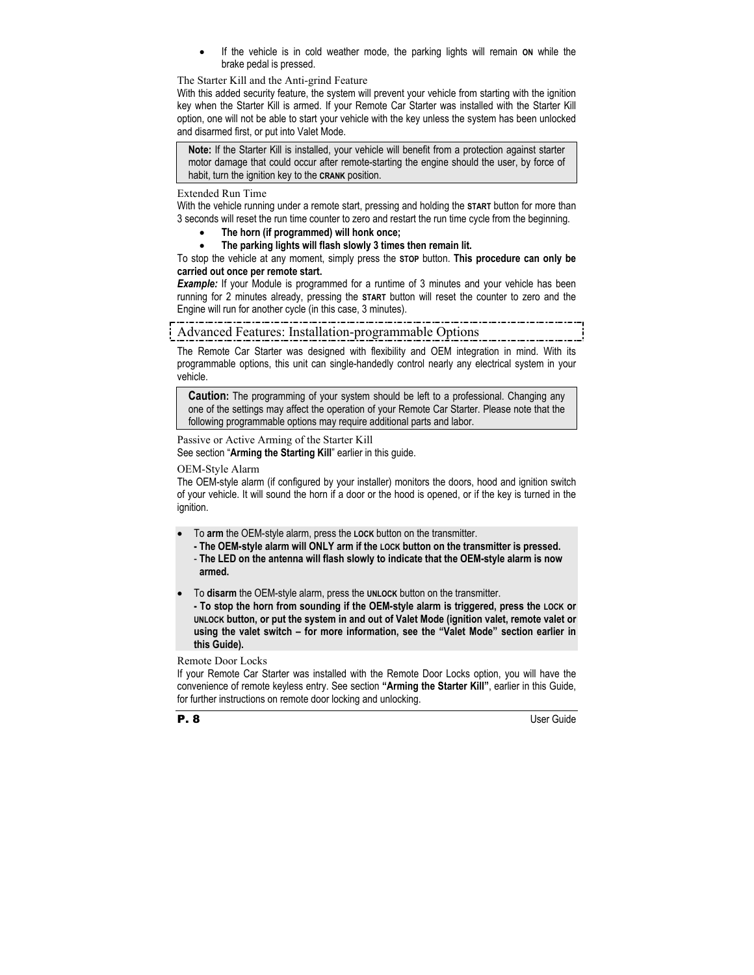If the vehicle is in cold weather mode, the parking lights will remain on while the brake pedal is pressed.

#### The Starter Kill and the Anti-grind Feature

With this added security feature, the system will prevent your vehicle from starting with the ignition key when the Starter Kill is armed. If your Remote Car Starter was installed with the Starter Kill option, one will not be able to start your vehicle with the key unless the system has been unlocked and disarmed first, or put into Valet Mode.

**Note:** If the Starter Kill is installed, your vehicle will benefit from a protection against starter motor damage that could occur after remote-starting the engine should the user, by force of habit, turn the ignition key to the **CRANK** position.

#### Extended Run Time

With the vehicle running under a remote start, pressing and holding the **START** button for more than 3 seconds will reset the run time counter to zero and restart the run time cycle from the beginning.

- **The horn (if programmed) will honk once;**
- **The parking lights will flash slowly 3 times then remain lit.**

To stop the vehicle at any moment, simply press the **STOP** button. **This procedure can only be carried out once per remote start.** 

*Example:* If your Module is programmed for a runtime of 3 minutes and your vehicle has been running for 2 minutes already, pressing the **START** button will reset the counter to zero and the Engine will run for another cycle (in this case, 3 minutes).

# Advanced Features: Installation-programmable Options

The Remote Car Starter was designed with flexibility and OEM integration in mind. With its programmable options, this unit can single-handedly control nearly any electrical system in your vehicle.

**Caution:** The programming of your system should be left to a professional. Changing any one of the settings may affect the operation of your Remote Car Starter. Please note that the following programmable options may require additional parts and labor.

Passive or Active Arming of the Starter Kill See section "**Arming the Starting Kill**" earlier in this guide.

#### OEM-Style Alarm

The OEM-style alarm (if configured by your installer) monitors the doors, hood and ignition switch of your vehicle. It will sound the horn if a door or the hood is opened, or if the key is turned in the ignition.

- To **arm** the OEM-style alarm, press the **LOCK** button on the transmitter.
	- **The OEM-style alarm will ONLY arm if the LOCK button on the transmitter is pressed.**
	- **The LED on the antenna will flash slowly to indicate that the OEM-style alarm is now armed.**
- To **disarm** the OEM-style alarm, press the **UNLOCK** button on the transmitter.
- **To stop the horn from sounding if the OEM-style alarm is triggered, press the LOCK or UNLOCK button, or put the system in and out of Valet Mode (ignition valet, remote valet or using the valet switch – for more information, see the "Valet Mode" section earlier in this Guide).**

#### Remote Door Locks

If your Remote Car Starter was installed with the Remote Door Locks option, you will have the convenience of remote keyless entry. See section **"Arming the Starter Kill"**, earlier in this Guide, for further instructions on remote door locking and unlocking.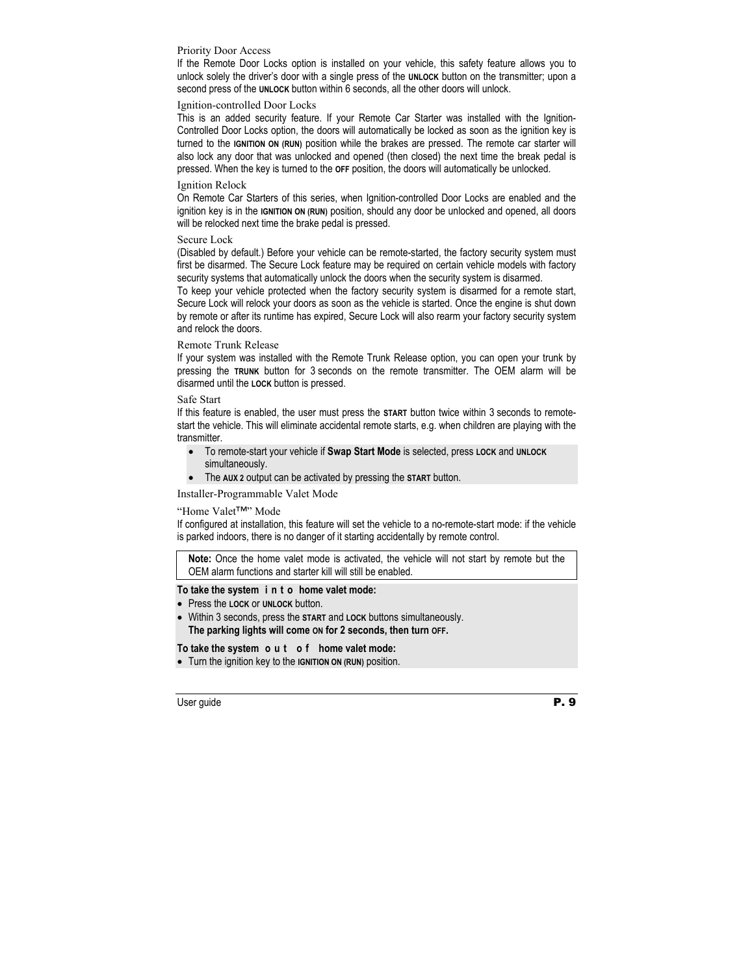#### Priority Door Access

If the Remote Door Locks option is installed on your vehicle, this safety feature allows you to unlock solely the driver's door with a single press of the **UNLOCK** button on the transmitter; upon a second press of the **UNLOCK** button within 6 seconds, all the other doors will unlock.

#### Ignition-controlled Door Locks

This is an added security feature. If your Remote Car Starter was installed with the Ignition-Controlled Door Locks option, the doors will automatically be locked as soon as the ignition key is turned to the **IGNITION ON (RUN)** position while the brakes are pressed. The remote car starter will also lock any door that was unlocked and opened (then closed) the next time the break pedal is pressed. When the key is turned to the **OFF** position, the doors will automatically be unlocked.

#### Ignition Relock

On Remote Car Starters of this series, when Ignition-controlled Door Locks are enabled and the ignition key is in the **IGNITION ON (RUN)** position, should any door be unlocked and opened, all doors will be relocked next time the brake pedal is pressed.

#### Secure Lock

(Disabled by default.) Before your vehicle can be remote-started, the factory security system must first be disarmed. The Secure Lock feature may be required on certain vehicle models with factory security systems that automatically unlock the doors when the security system is disarmed.

To keep your vehicle protected when the factory security system is disarmed for a remote start, Secure Lock will relock your doors as soon as the vehicle is started. Once the engine is shut down by remote or after its runtime has expired, Secure Lock will also rearm your factory security system and relock the doors.

#### Remote Trunk Release

If your system was installed with the Remote Trunk Release option, you can open your trunk by pressing the **TRUNK** button for 3 seconds on the remote transmitter. The OEM alarm will be disarmed until the **LOCK** button is pressed.

#### Safe Start

If this feature is enabled, the user must press the **START** button twice within 3 seconds to remotestart the vehicle. This will eliminate accidental remote starts, e.g. when children are playing with the transmitter.

- To remote-start your vehicle if **Swap Start Mode** is selected, press **LOCK** and **UNLOCK** simultaneously.
- The **AUX 2** output can be activated by pressing the **START** button.

#### Installer-Programmable Valet Mode

#### "Home Valet™" Mode

If configured at installation, this feature will set the vehicle to a no-remote-start mode: if the vehicle is parked indoors, there is no danger of it starting accidentally by remote control.

**Note:** Once the home valet mode is activated, the vehicle will not start by remote but the OEM alarm functions and starter kill will still be enabled.

#### **To take the system i n t o home valet mode:**

- Press the **LOCK** or **UNLOCK** button.
- Within 3 seconds, press the **START** and **LOCK** buttons simultaneously. **The parking lights will come ON for 2 seconds, then turn OFF.**

#### **To take the system o u t o f home valet mode:**

• Turn the ignition key to the **IGNITION ON (RUN)** position.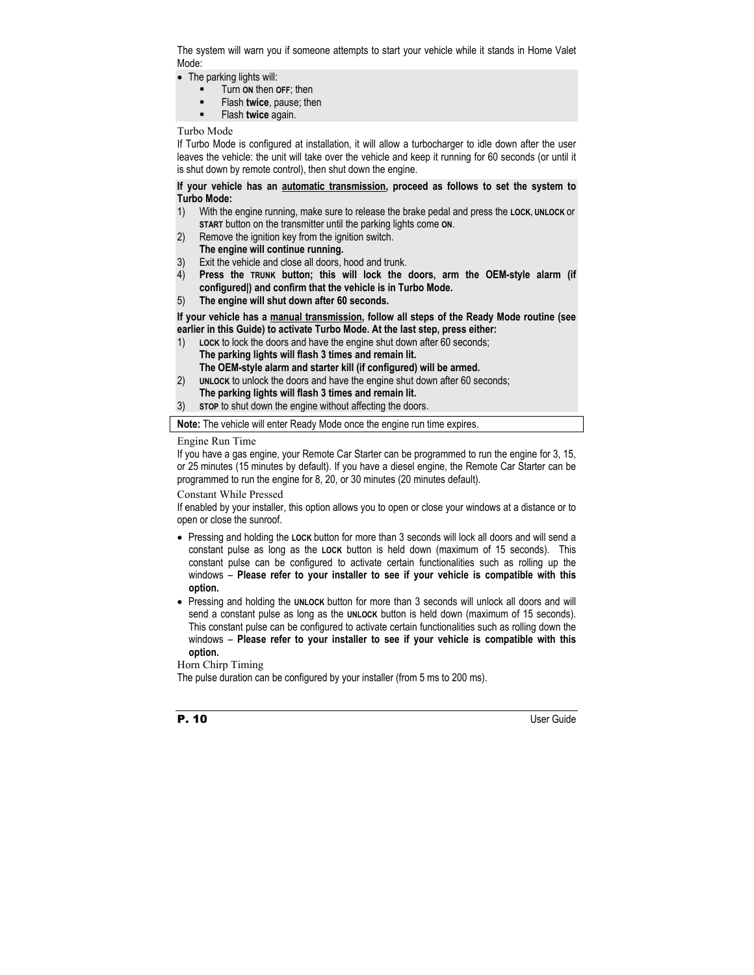The system will warn you if someone attempts to start your vehicle while it stands in Home Valet Mode:

- The parking lights will:
	- Turn **ON** then **OFF**; then
	- **Flash twice**, pause; then
	- Flash **twice** again.

#### Turbo Mode

If Turbo Mode is configured at installation, it will allow a turbocharger to idle down after the user leaves the vehicle: the unit will take over the vehicle and keep it running for 60 seconds (or until it is shut down by remote control), then shut down the engine.

#### **If your vehicle has an automatic transmission, proceed as follows to set the system to Turbo Mode:**

- 1) With the engine running, make sure to release the brake pedal and press the **LOCK, UNLOCK** or **START** button on the transmitter until the parking lights come **ON**.
- 2) Remove the ignition key from the ignition switch.
- **The engine will continue running.**
- 3) Exit the vehicle and close all doors, hood and trunk.
- 4) **Press the TRUNK button; this will lock the doors, arm the OEM-style alarm (if configured|) and confirm that the vehicle is in Turbo Mode.**
- 5) **The engine will shut down after 60 seconds.**

#### **If your vehicle has a manual transmission, follow all steps of the Ready Mode routine (see earlier in this Guide) to activate Turbo Mode. At the last step, press either:**

- 1) **LOCK** to lock the doors and have the engine shut down after 60 seconds; **The parking lights will flash 3 times and remain lit. The OEM-style alarm and starter kill (if configured) will be armed.**
- 2) **UNLOCK** to unlock the doors and have the engine shut down after 60 seconds; **The parking lights will flash 3 times and remain lit.**
- 3) **STOP** to shut down the engine without affecting the doors.

**Note:** The vehicle will enter Ready Mode once the engine run time expires.

#### Engine Run Time

If you have a gas engine, your Remote Car Starter can be programmed to run the engine for 3, 15, or 25 minutes (15 minutes by default). If you have a diesel engine, the Remote Car Starter can be programmed to run the engine for 8, 20, or 30 minutes (20 minutes default).

#### Constant While Pressed

If enabled by your installer, this option allows you to open or close your windows at a distance or to open or close the sunroof.

- Pressing and holding the **LOCK** button for more than 3 seconds will lock all doors and will send a constant pulse as long as the **LOCK** button is held down (maximum of 15 seconds). This constant pulse can be configured to activate certain functionalities such as rolling up the windows – **Please refer to your installer to see if your vehicle is compatible with this option.**
- Pressing and holding the **UNLOCK** button for more than 3 seconds will unlock all doors and will send a constant pulse as long as the **UNLOCK** button is held down (maximum of 15 seconds). This constant pulse can be configured to activate certain functionalities such as rolling down the windows – **Please refer to your installer to see if your vehicle is compatible with this option.**

#### Horn Chirp Timing

The pulse duration can be configured by your installer (from 5 ms to 200 ms).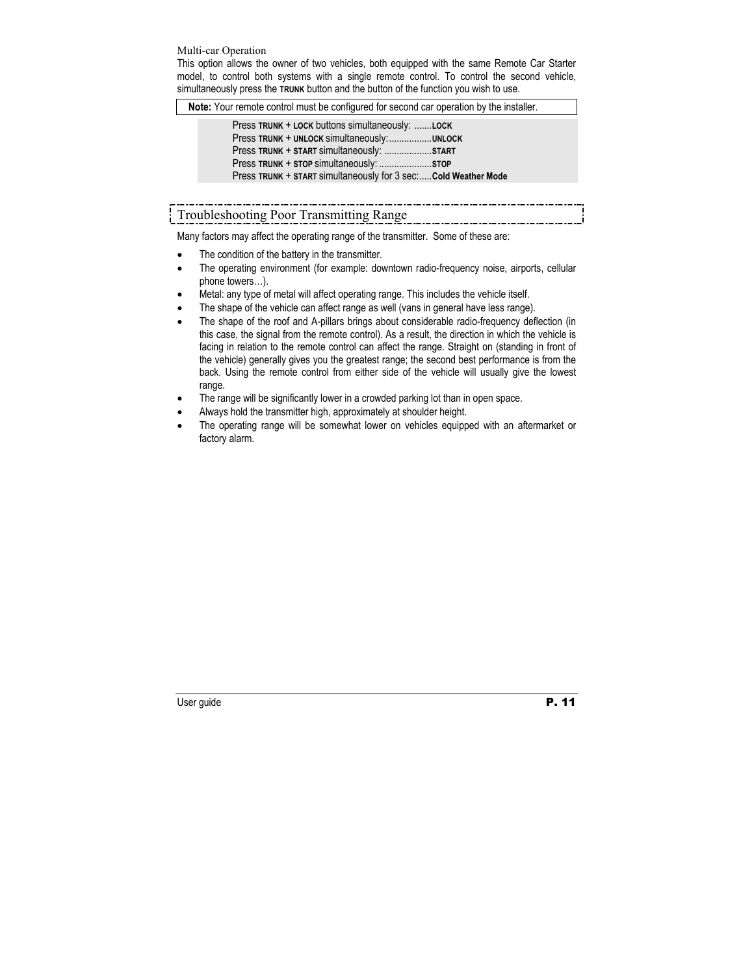#### Multi-car Operation

This option allows the owner of two vehicles, both equipped with the same Remote Car Starter model, to control both systems with a single remote control. To control the second vehicle, simultaneously press the **TRUNK** button and the button of the function you wish to use.

**Note:** Your remote control must be configured for second car operation by the installer.

| Press TRUNK + LOCK buttons simultaneously: LOCK                 |  |  |  |  |
|-----------------------------------------------------------------|--|--|--|--|
| Press TRUNK + UNLOCK simultaneously:UNLOCK                      |  |  |  |  |
| Press TRUNK + START simultaneously: START                       |  |  |  |  |
|                                                                 |  |  |  |  |
| Press TRUNK + START simultaneously for 3 sec: Cold Weather Mode |  |  |  |  |

# Troubleshooting Poor Transmitting Range

Many factors may affect the operating range of the transmitter. Some of these are:

- The condition of the battery in the transmitter.
- The operating environment (for example: downtown radio-frequency noise, airports, cellular phone towers…).
- Metal: any type of metal will affect operating range. This includes the vehicle itself.
- The shape of the vehicle can affect range as well (vans in general have less range).
- The shape of the roof and A-pillars brings about considerable radio-frequency deflection (in this case, the signal from the remote control). As a result, the direction in which the vehicle is facing in relation to the remote control can affect the range. Straight on (standing in front of the vehicle) generally gives you the greatest range; the second best performance is from the back. Using the remote control from either side of the vehicle will usually give the lowest range.
- The range will be significantly lower in a crowded parking lot than in open space.
- Always hold the transmitter high, approximately at shoulder height.
- The operating range will be somewhat lower on vehicles equipped with an aftermarket or factory alarm.